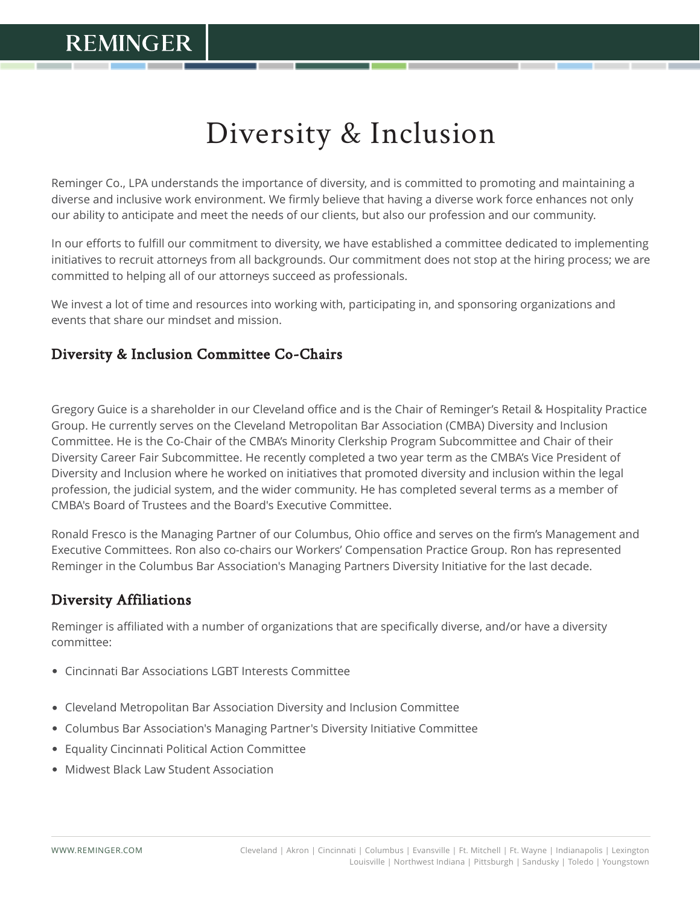# Diversity & Inclusion

Reminger Co., LPA understands the importance of diversity, and is committed to promoting and maintaining a diverse and inclusive work environment. We firmly believe that having a diverse work force enhances not only our ability to anticipate and meet the needs of our clients, but also our profession and our community.

In our efforts to fulfill our commitment to diversity, we have established a committee dedicated to implementing initiatives to recruit attorneys from all backgrounds. Our commitment does not stop at the hiring process; we are committed to helping all of our attorneys succeed as professionals.

We invest a lot of time and resources into working with, participating in, and sponsoring organizations and events that share our mindset and mission.

### Diversity & Inclusion Committee Co-Chairs

Gregory Guice is a shareholder in our Cleveland office and is the Chair of Reminger's Retail & Hospitality Practice Group. He currently serves on the Cleveland Metropolitan Bar Association (CMBA) Diversity and Inclusion Committee. He is the Co-Chair of the CMBA's Minority Clerkship Program Subcommittee and Chair of their Diversity Career Fair Subcommittee. He recently completed a two year term as the CMBA's Vice President of Diversity and Inclusion where he worked on initiatives that promoted diversity and inclusion within the legal profession, the judicial system, and the wider community. He has completed several terms as a member of CMBA's Board of Trustees and the Board's Executive Committee.

Ronald Fresco is the Managing Partner of our Columbus, Ohio office and serves on the firm's Management and Executive Committees. Ron also co-chairs our Workers' Compensation Practice Group. Ron has represented Reminger in the Columbus Bar Association's Managing Partners Diversity Initiative for the last decade.

### Diversity Affiliations

Reminger is affiliated with a number of organizations that are specifically diverse, and/or have a diversity committee:

- Cincinnati Bar Associations LGBT Interests Committee
- Cleveland Metropolitan Bar Association Diversity and Inclusion Committee
- Columbus Bar Association's Managing Partner's Diversity Initiative Committee
- Equality Cincinnati Political Action Committee
- Midwest Black Law Student Association